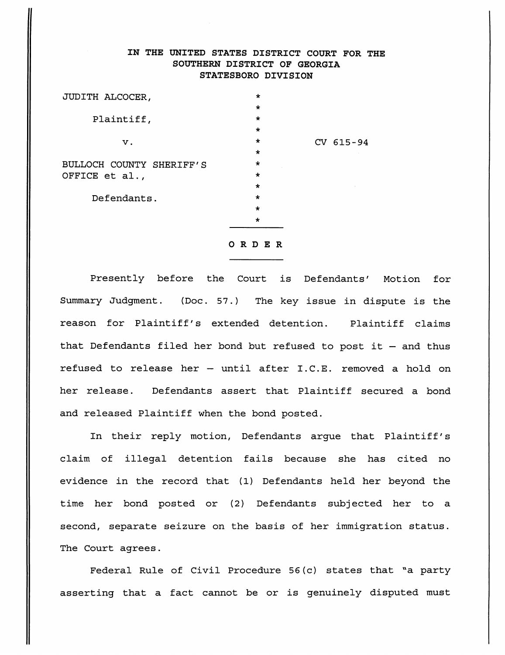## IN THE UNITED STATES DISTRICT COURT FOR THE SOUTHERN DISTRICT OF GEORGIA STATESBORO DIVISION

 $A$ lacoch County Sheriff's Office et al [Doc. 91](https://docs.justia.com/cases/federal/district-courts/georgia/gasdce/6:2015cv00094/67084/91/)  $\mu$  -social Doc. 91  $\mu$  -social Doc. 91  $\mu$ 

| JUDITH ALCOCER,          | $\star$ |           |
|--------------------------|---------|-----------|
|                          | $\star$ |           |
| Plaintiff,               | $\star$ |           |
|                          | $\star$ |           |
| ν.                       | $\star$ | CV 615-94 |
|                          | $\star$ |           |
| BULLOCH COUNTY SHERIFF'S | $\star$ |           |
| OFFICE et al.,           | $\star$ |           |
|                          | $\star$ |           |
| Defendants.              | $\star$ |           |
|                          | $\star$ |           |
|                          | $\star$ |           |
|                          |         |           |

## ORDER

Presently before the Court is Defendants' Motion for Summary Judgment. (Doc. 57.) The key issue in dispute is the reason for Plaintiff's extended detention. Plaintiff claims that Defendants filed her bond but refused to post it — and thus refused to release her — until after I.C.E. removed a hold on her release. Defendants assert that Plaintiff secured a bond and released Plaintiff when the bond posted.

In their reply motion, Defendants argue that Plaintiff's claim of illegal detention fails because she has cited no evidence in the record that (1) Defendants held her beyond the time her bond posted or (2) Defendants subjected her to a second, separate seizure on the basis of her immigration status. The Court agrees.

Federal Rule of Civil Procedure 56(c) states that "a party asserting that a fact cannot be or is genuinely disputed must

[Dockets.Justia.com](https://dockets.justia.com/)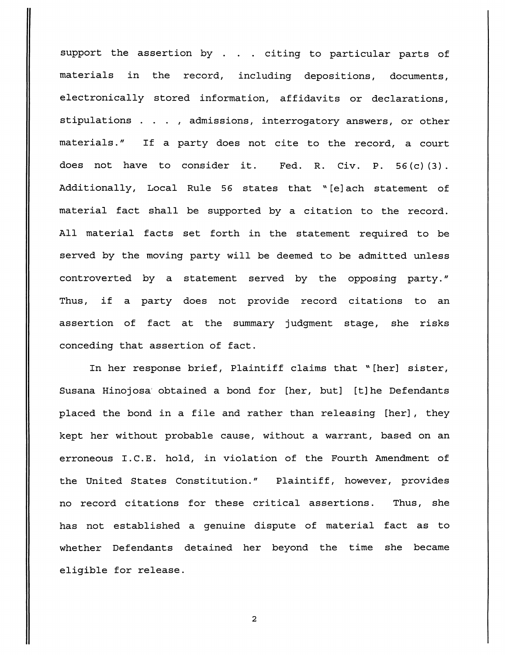support the assertion by . . . citing to particular parts of materials in the record, including depositions, documents, electronically stored information, affidavits or declarations, stipulations . . . , admissions, interrogatory answers, or other materials." If a party does not cite to the record, a court does not have to consider it. Fed. R. Civ. P. 56(c)(3). Additionally, Local Rule 56 states that "[e]ach statement of material fact shall be supported by a citation to the record. All material facts set forth in the statement required to be served by the moving party will be deemed to be admitted unless controverted by a statement served by the opposing party." Thus, if a party does not provide record citations to an assertion of fact at the summary judgment stage, she risks conceding that assertion of fact.

In her response brief, Plaintiff claims that "[her] sister, Susana Hinojosa' obtained a bond for [her, but] [t]he Defendants placed the bond in a file and rather than releasing [her] , they kept her without probable cause, without a warrant, based on an erroneous I.C.E. hold, in violation of the Fourth Amendment of the United States Constitution." Plaintiff, however, provides no record citations for these critical assertions. Thus, she has not established a genuine dispute of material fact as to whether Defendants detained her beyond the time she became eligible for release.

 $\overline{2}$